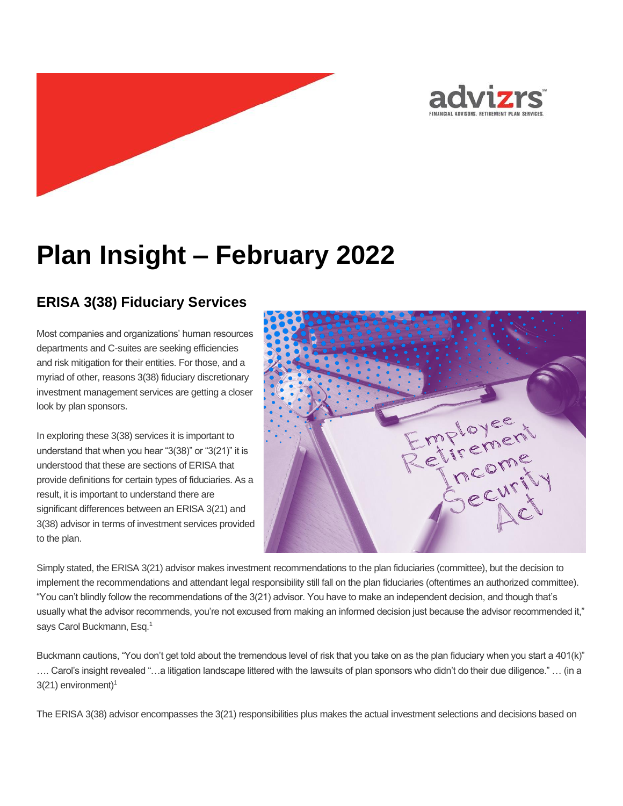



## **ERISA 3(38) Fiduciary Services**

Most companies and organizations' human resources departments and C-suites are seeking efficiencies and risk mitigation for their entities. For those, and a myriad of other, reasons 3(38) fiduciary discretionary investment management services are getting a closer look by plan sponsors.

In exploring these 3(38) services it is important to understand that when you hear "3(38)" or "3(21)" it is understood that these are sections of ERISA that provide definitions for certain types of fiduciaries. As a result, it is important to understand there are significant differences between an ERISA 3(21) and 3(38) advisor in terms of investment services provided to the plan.



Simply stated, the ERISA 3(21) advisor makes investment recommendations to the plan fiduciaries (committee), but the decision to implement the recommendations and attendant legal responsibility still fall on the plan fiduciaries (oftentimes an authorized committee). "You can't blindly follow the recommendations of the 3(21) advisor. You have to make an independent decision, and though that's usually what the advisor recommends, you're not excused from making an informed decision just because the advisor recommended it," says Carol Buckmann, Esq.<sup>1</sup>

Buckmann cautions, "You don't get told about the tremendous level of risk that you take on as the plan fiduciary when you start a 401(k)" …. Carol's insight revealed "…a litigation landscape littered with the lawsuits of plan sponsors who didn't do their due diligence." … (in a  $3(21)$  environment)<sup>1</sup>

The ERISA 3(38) advisor encompasses the 3(21) responsibilities plus makes the actual investment selections and decisions based on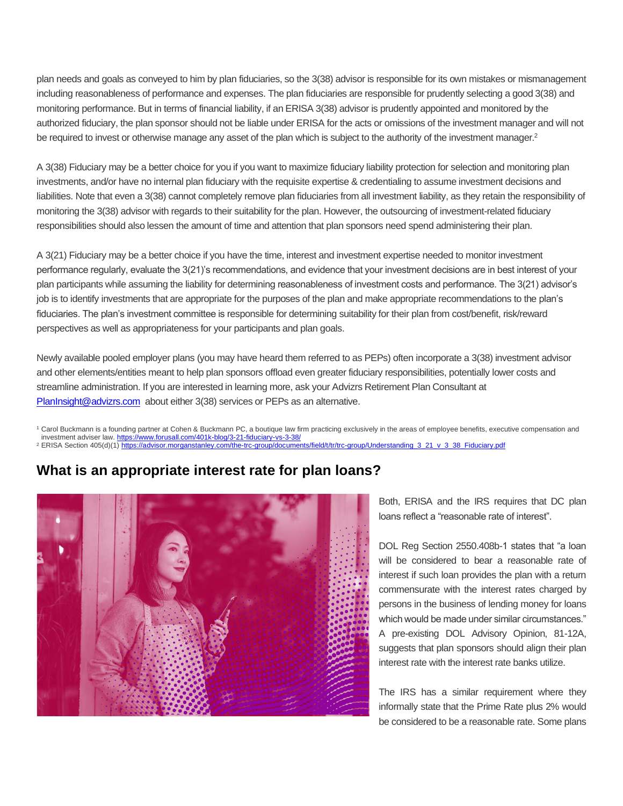plan needs and goals as conveyed to him by plan fiduciaries, so the 3(38) advisor is responsible for its own mistakes or mismanagement including reasonableness of performance and expenses. The plan fiduciaries are responsible for prudently selecting a good 3(38) and monitoring performance. But in terms of financial liability, if an ERISA 3(38) advisor is prudently appointed and monitored by the authorized fiduciary, the plan sponsor should not be liable under ERISA for the acts or omissions of the investment manager and will not be required to invest or otherwise manage any asset of the plan which is subject to the authority of the investment manager.<sup>2</sup>

A 3(38) Fiduciary may be a better choice for you if you want to maximize fiduciary liability protection for selection and monitoring plan investments, and/or have no internal plan fiduciary with the requisite expertise & credentialing to assume investment decisions and liabilities. Note that even a 3(38) cannot completely remove plan fiduciaries from all investment liability, as they retain the responsibility of monitoring the 3(38) advisor with regards to their suitability for the plan. However, the outsourcing of investment-related fiduciary responsibilities should also lessen the amount of time and attention that plan sponsors need spend administering their plan.

A 3(21) Fiduciary may be a better choice if you have the time, interest and investment expertise needed to monitor investment performance regularly, evaluate the 3(21)'s recommendations, and evidence that your investment decisions are in best interest of your plan participants while assuming the liability for determining reasonableness of investment costs and performance. The 3(21) advisor's job is to identify investments that are appropriate for the purposes of the plan and make appropriate recommendations to the plan's fiduciaries. The plan's investment committee is responsible for determining suitability for their plan from cost/benefit, risk/reward perspectives as well as appropriateness for your participants and plan goals.

Newly available pooled employer plans (you may have heard them referred to as PEPs) often incorporate a 3(38) investment advisor and other elements/entities meant to help plan sponsors offload even greater fiduciary responsibilities, potentially lower costs and streamline administration. If you are interested in learning more, ask your Advizrs Retirement Plan Consultant at [PlanInsight@advizrs.com](mailto:PlanInsight@advizrs.com) about either 3(38) services or PEPs as an alternative.

<sup>1</sup> Carol Buckmann is a founding partner at Cohen & Buckmann PC, a boutique law firm practicing exclusively in the areas of employee benefits, executive compensation and investment adviser law. <https://www.forusall.com/401k-blog/3-21-fiduciary-vs-3-38/> <sup>2</sup> ERISA Section 405(d)(1[\) https://advisor.morganstanley.com/the-trc-group/documents/field/t/tr/trc-group/Understanding\\_3\\_21\\_v\\_3\\_38\\_Fiduciary.pdf](https://advisor.morganstanley.com/the-trc-group/documents/field/t/tr/trc-group/Understanding_3_21_v_3_38_Fiduciary.pdf)

## **What is an appropriate interest rate for plan loans?**



Both, ERISA and the IRS requires that DC plan loans reflect a "reasonable rate of interest".

DOL Reg Section 2550.408b-1 states that "a loan will be considered to bear a reasonable rate of interest if such loan provides the plan with a return commensurate with the interest rates charged by persons in the business of lending money for loans which would be made under similar circumstances." A pre-existing DOL Advisory Opinion, 81-12A, suggests that plan sponsors should align their plan interest rate with the interest rate banks utilize.

The IRS has a similar requirement where they informally state that the Prime Rate plus 2% would be considered to be a reasonable rate. Some plans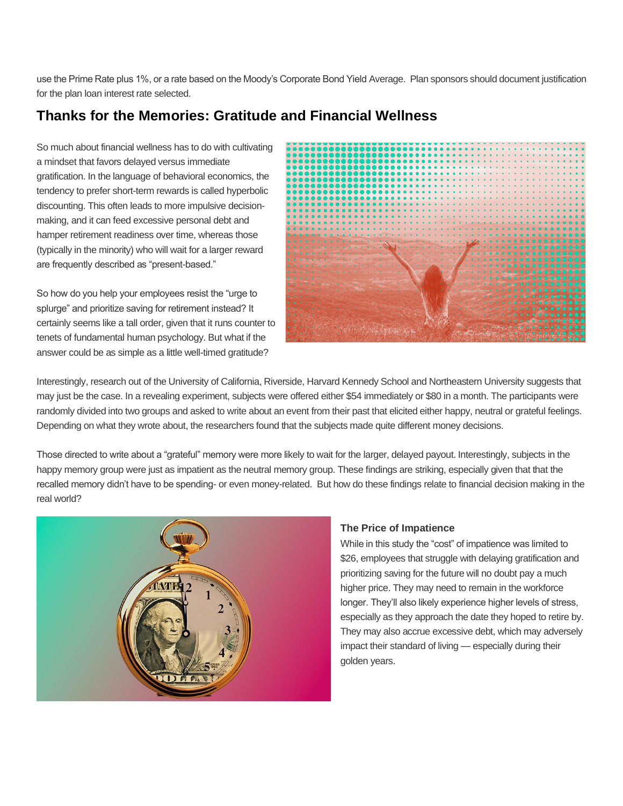use the Prime Rate plus 1%, or a rate based on the Moody's Corporate Bond Yield Average. Plan sponsors should document justification for the plan loan interest rate selected.

## **Thanks for the Memories: Gratitude and Financial Wellness**

So much about financial wellness has to do with cultivating a mindset that favors delayed versus immediate gratification. In the language of behavioral economics, the tendency to prefer short-term rewards is called hyperbolic discounting. This often leads to more impulsive decisionmaking, and it can feed excessive personal debt and hamper retirement readiness over time, whereas those (typically in the minority) who will wait for a larger reward are frequently described as "present-based."

So how do you help your employees resist the "urge to splurge" and prioritize saving for retirement instead? It certainly seems like a tall order, given that it runs counter to tenets of fundamental human psychology. But what if the answer could be as simple as a little well-timed gratitude?



Interestingly, research out of the University of California, Riverside, Harvard Kennedy School and Northeastern University suggests that may just be the case. In a revealing experiment, subjects were offered either \$54 immediately or \$80 in a month. The participants were randomly divided into two groups and asked to write about an event from their past that elicited either happy, neutral or grateful feelings. Depending on what they wrote about, the researchers found that the subjects made quite different money decisions.

Those directed to write about a "grateful" memory were more likely to wait for the larger, delayed payout. Interestingly, subjects in the happy memory group were just as impatient as the neutral memory group. These findings are striking, especially given that that the recalled memory didn't have to be spending- or even money-related. But how do these findings relate to financial decision making in the real world?



#### **The Price of Impatience**

While in this study the "cost" of impatience was limited to \$26, employees that struggle with delaying gratification and prioritizing saving for the future will no doubt pay a much higher price. They may need to remain in the workforce longer. They'll also likely experience higher levels of stress, especially as they approach the date they hoped to retire by. They may also accrue excessive debt, which may adversely impact their standard of living — especially during their golden years.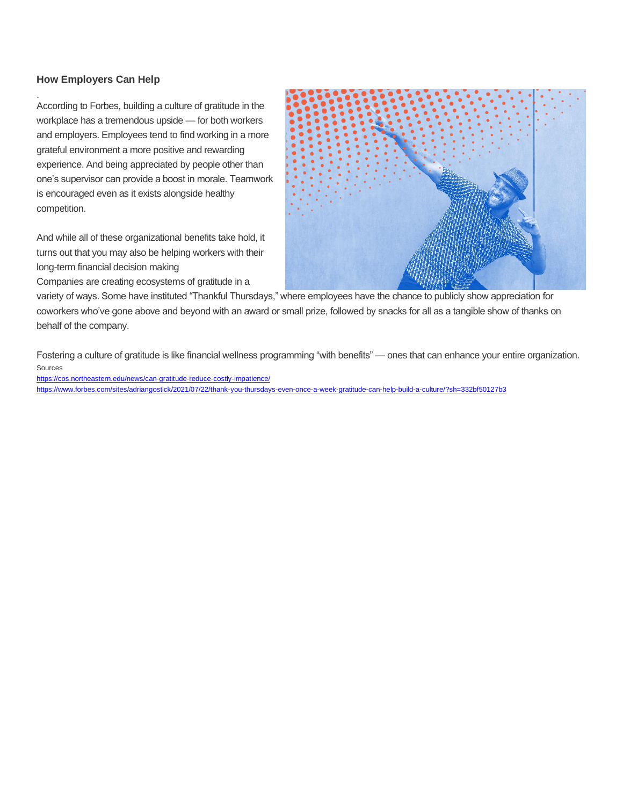#### **How Employers Can Help**

.

According to Forbes, building a culture of gratitude in the workplace has a tremendous upside — for both workers and employers. Employees tend to find working in a more grateful environment a more positive and rewarding experience. And being appreciated by people other than one's supervisor can provide a boost in morale. Teamwork is encouraged even as it exists alongside healthy competition.

And while all of these organizational benefits take hold, it turns out that you may also be helping workers with their long-term financial decision making

Companies are creating ecosystems of gratitude in a



variety of ways. Some have instituted "Thankful Thursdays," where employees have the chance to publicly show appreciation for coworkers who've gone above and beyond with an award or small prize, followed by snacks for all as a tangible show of thanks on behalf of the company.

Fostering a culture of gratitude is like financial wellness programming "with benefits" — ones that can enhance your entire organization. Sources

<https://cos.northeastern.edu/news/can-gratitude-reduce-costly-impatience/> <https://www.forbes.com/sites/adriangostick/2021/07/22/thank-you-thursdays-even-once-a-week-gratitude-can-help-build-a-culture/?sh=332bf50127b3>